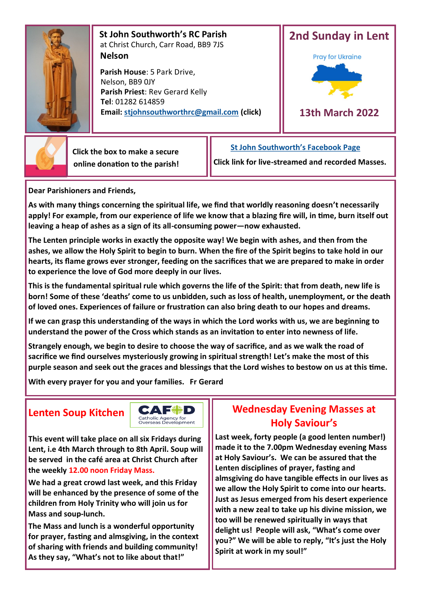

 **St John Southworth's RC Parish** at Christ Church, Carr Road, BB9 7JS **Nelson**

 **Parish House**: 5 Park Drive, Nelson, BB9 0JY **Parish Priest**: Rev Gerard Kelly **Tel**: 01282 614859 **Email: [stjohnsouthworthrc@gmail.com](mailto:stjohnsouthworth@gmail.com) (click)**





 **Click the box to make a secure online donation to the parish!** **[St John Southworth's Facebook Page](https://www.facebook.com/Parish-of-St-John-Southworth-in-Nelson-105718084323986)**

**Click link for live-streamed and recorded Masses.**

**Dear Parishioners and Friends,**

**As with many things concerning the spiritual life, we find that worldly reasoning doesn't necessarily apply! For example, from our experience of life we know that a blazing fire will, in time, burn itself out leaving a heap of ashes as a sign of its all-consuming power—now exhausted.**

**The Lenten principle works in exactly the opposite way! We begin with ashes, and then from the ashes, we allow the Holy Spirit to begin to burn. When the fire of the Spirit begins to take hold in our hearts, its flame grows ever stronger, feeding on the sacrifices that we are prepared to make in order to experience the love of God more deeply in our lives.**

**This is the fundamental spiritual rule which governs the life of the Spirit: that from death, new life is born! Some of these 'deaths' come to us unbidden, such as loss of health, unemployment, or the death of loved ones. Experiences of failure or frustration can also bring death to our hopes and dreams.**

**If we can grasp this understanding of the ways in which the Lord works with us, we are beginning to understand the power of the Cross which stands as an invitation to enter into newness of life.** 

**Strangely enough, we begin to desire to choose the way of sacrifice, and as we walk the road of sacrifice we find ourselves mysteriously growing in spiritual strength! Let's make the most of this purple season and seek out the graces and blessings that the Lord wishes to bestow on us at this time.**

**With every prayer for you and your families. Fr Gerard**

## **Lenten Soup Kitchen**



**This event will take place on all six Fridays during Lent, i.e 4th March through to 8th April. Soup will be served in the café area at Christ Church after the weekly 12.00 noon Friday Mass.**

**We had a great crowd last week, and this Friday will be enhanced by the presence of some of the children from Holy Trinity who will join us for Mass and soup-lunch.** 

**The Mass and lunch is a wonderful opportunity for prayer, fasting and almsgiving, in the context of sharing with friends and building community! As they say, "What's not to like about that!"**

## **Wednesday Evening Masses at Holy Saviour's**

**Last week, forty people (a good lenten number!) made it to the 7.00pm Wednesday evening Mass at Holy Saviour's. We can be assured that the Lenten disciplines of prayer, fasting and almsgiving do have tangible effects in our lives as we allow the Holy Spirit to come into our hearts. Just as Jesus emerged from his desert experience with a new zeal to take up his divine mission, we too will be renewed spiritually in ways that delight us! People will ask, "What's come over you?" We will be able to reply, "It's just the Holy Spirit at work in my soul!"**